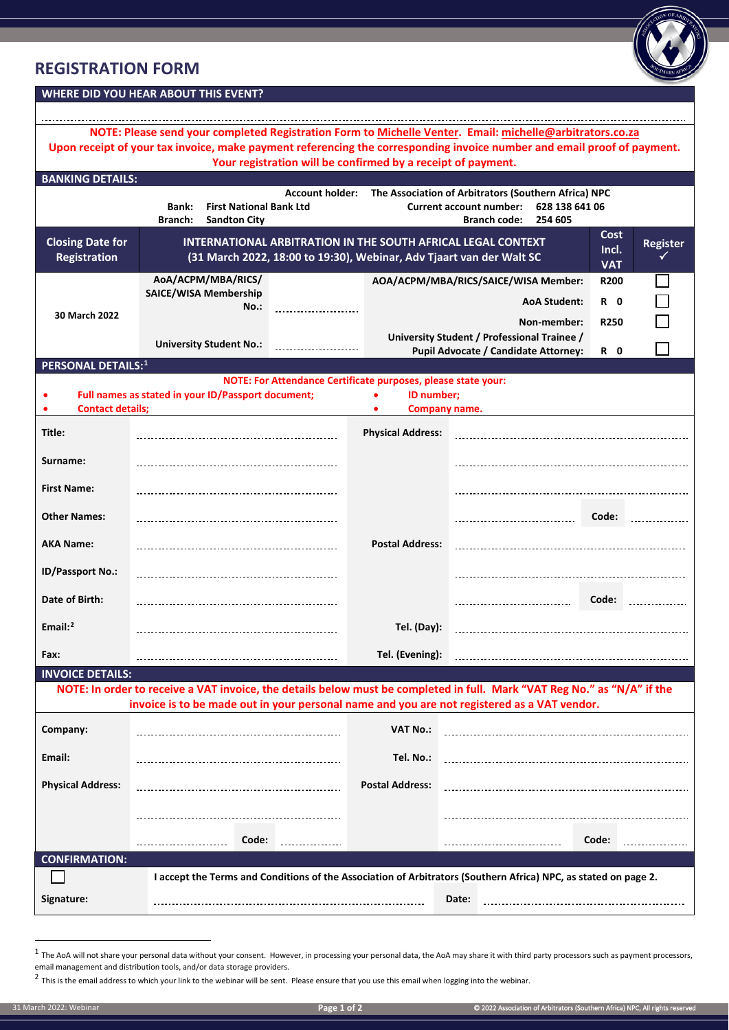## **REGISTRATION FORM**



| NOTE: Please send your completed Registration Form to Michelle Venter. Email: michelle@arbitrators.co.za<br>Upon receipt of your tax invoice, make payment referencing the corresponding invoice number and email proof of payment. |                                                                                                                 |                          |                                                                                                                                                                                                    |                         |  |
|-------------------------------------------------------------------------------------------------------------------------------------------------------------------------------------------------------------------------------------|-----------------------------------------------------------------------------------------------------------------|--------------------------|----------------------------------------------------------------------------------------------------------------------------------------------------------------------------------------------------|-------------------------|--|
| <b>BANKING DETAILS:</b>                                                                                                                                                                                                             | Your registration will be confirmed by a receipt of payment.                                                    |                          |                                                                                                                                                                                                    |                         |  |
|                                                                                                                                                                                                                                     | <b>Account holder:</b>                                                                                          |                          | The Association of Arbitrators (Southern Africa) NPC                                                                                                                                               |                         |  |
| 628 138 641 06<br>Bank:<br><b>First National Bank Ltd</b><br><b>Current account number:</b><br>Branch:<br><b>Sandton City</b><br><b>Branch code:</b><br>254 605                                                                     |                                                                                                                 |                          |                                                                                                                                                                                                    |                         |  |
| <b>Closing Date for</b><br><b>Registration</b>                                                                                                                                                                                      |                                                                                                                 |                          | Cost<br><b>INTERNATIONAL ARBITRATION IN THE SOUTH AFRICAL LEGAL CONTEXT</b><br><b>Register</b><br>Incl.<br>(31 March 2022, 18:00 to 19:30), Webinar, Adv Tjaart van der Walt SC<br>✓<br><b>VAT</b> |                         |  |
|                                                                                                                                                                                                                                     | AoA/ACPM/MBA/RICS/                                                                                              |                          | AOA/ACPM/MBA/RICS/SAICE/WISA Member:                                                                                                                                                               | <b>R200</b>             |  |
|                                                                                                                                                                                                                                     | <b>SAICE/WISA Membership</b><br>No.:<br>-----------------------                                                 |                          | <b>AoA Student:</b>                                                                                                                                                                                | R <sub>0</sub>          |  |
| 30 March 2022                                                                                                                                                                                                                       |                                                                                                                 |                          | Non-member:                                                                                                                                                                                        | <b>R250</b>             |  |
|                                                                                                                                                                                                                                     | <b>University Student No.:</b>                                                                                  |                          | University Student / Professional Trainee /                                                                                                                                                        |                         |  |
| <b>PERSONAL DETAILS:1</b>                                                                                                                                                                                                           |                                                                                                                 |                          | <b>Pupil Advocate / Candidate Attorney:</b>                                                                                                                                                        | R 0                     |  |
|                                                                                                                                                                                                                                     | NOTE: For Attendance Certificate purposes, please state your:                                                   |                          |                                                                                                                                                                                                    |                         |  |
|                                                                                                                                                                                                                                     | Full names as stated in your ID/Passport document;                                                              | ID number:               |                                                                                                                                                                                                    |                         |  |
| <b>Contact details;</b>                                                                                                                                                                                                             |                                                                                                                 |                          | Company name.                                                                                                                                                                                      |                         |  |
| Title:                                                                                                                                                                                                                              |                                                                                                                 | <b>Physical Address:</b> |                                                                                                                                                                                                    |                         |  |
| Surname:                                                                                                                                                                                                                            |                                                                                                                 |                          |                                                                                                                                                                                                    |                         |  |
| <b>First Name:</b>                                                                                                                                                                                                                  |                                                                                                                 |                          |                                                                                                                                                                                                    |                         |  |
| <b>Other Names:</b>                                                                                                                                                                                                                 |                                                                                                                 |                          | -----------------------------------                                                                                                                                                                | Code: <b>Management</b> |  |
| <b>AKA Name:</b>                                                                                                                                                                                                                    |                                                                                                                 | <b>Postal Address:</b>   |                                                                                                                                                                                                    |                         |  |
| <b>ID/Passport No.:</b>                                                                                                                                                                                                             |                                                                                                                 |                          |                                                                                                                                                                                                    |                         |  |
| Date of Birth:                                                                                                                                                                                                                      |                                                                                                                 |                          | ---------------------------------                                                                                                                                                                  | Code:                   |  |
| Email: $2$                                                                                                                                                                                                                          |                                                                                                                 | Tel. (Day):              |                                                                                                                                                                                                    |                         |  |
| Fax:                                                                                                                                                                                                                                |                                                                                                                 | Tel. (Evening):          |                                                                                                                                                                                                    |                         |  |
| <b>INVOICE DETAILS:</b>                                                                                                                                                                                                             |                                                                                                                 |                          |                                                                                                                                                                                                    |                         |  |
| NOTE: In order to receive a VAT invoice, the details below must be completed in full. Mark "VAT Reg No." as "N/A" if the<br>invoice is to be made out in your personal name and you are not registered as a VAT vendor.             |                                                                                                                 |                          |                                                                                                                                                                                                    |                         |  |
| Company:                                                                                                                                                                                                                            |                                                                                                                 | <b>VAT No.:</b>          |                                                                                                                                                                                                    |                         |  |
| Email:                                                                                                                                                                                                                              |                                                                                                                 | Tel. No.:                |                                                                                                                                                                                                    |                         |  |
| <b>Physical Address:</b>                                                                                                                                                                                                            |                                                                                                                 | <b>Postal Address:</b>   |                                                                                                                                                                                                    |                         |  |
|                                                                                                                                                                                                                                     |                                                                                                                 |                          |                                                                                                                                                                                                    |                         |  |
|                                                                                                                                                                                                                                     | Code:                                                                                                           |                          |                                                                                                                                                                                                    | Code:                   |  |
| <b>CONFIRMATION:</b>                                                                                                                                                                                                                |                                                                                                                 |                          |                                                                                                                                                                                                    |                         |  |
|                                                                                                                                                                                                                                     | I accept the Terms and Conditions of the Association of Arbitrators (Southern Africa) NPC, as stated on page 2. |                          |                                                                                                                                                                                                    |                         |  |
| Signature:                                                                                                                                                                                                                          |                                                                                                                 |                          | Date:                                                                                                                                                                                              |                         |  |

<span id="page-0-0"></span> $1$  The AoA will not share your personal data without your consent. However, in processing your personal data, the AoA may share it with third party processors such as payment processors, email management and distribution tools, and/or data storage providers.

<span id="page-0-1"></span> $^2$  This is the email address to which your link to the webinar will be sent. Please ensure that you use this email when logging into the webinar.